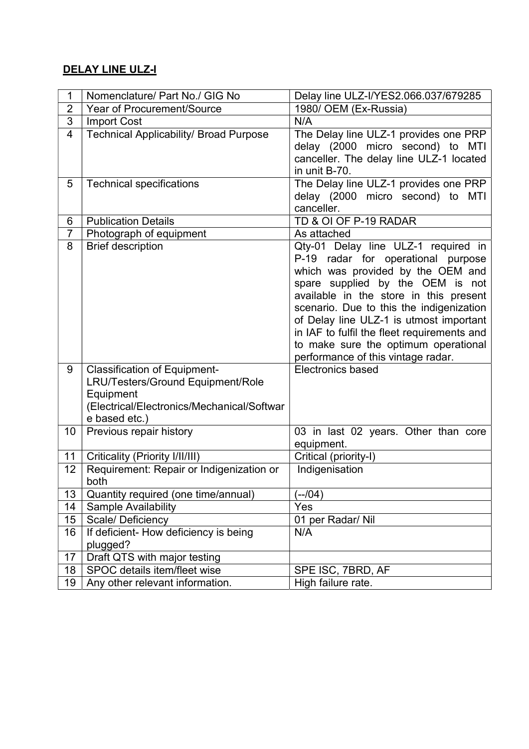## DELAY LINE ULZ-I

| 1              | Nomenclature/ Part No./ GIG No                                                                                                                       | Delay line ULZ-I/YES2.066.037/679285                                                                                                                                                                                                                                                                                                                                                                             |
|----------------|------------------------------------------------------------------------------------------------------------------------------------------------------|------------------------------------------------------------------------------------------------------------------------------------------------------------------------------------------------------------------------------------------------------------------------------------------------------------------------------------------------------------------------------------------------------------------|
| $\overline{2}$ | Year of Procurement/Source                                                                                                                           | 1980/ OEM (Ex-Russia)                                                                                                                                                                                                                                                                                                                                                                                            |
| $\sqrt{3}$     | <b>Import Cost</b>                                                                                                                                   | N/A                                                                                                                                                                                                                                                                                                                                                                                                              |
| $\overline{4}$ | <b>Technical Applicability/ Broad Purpose</b>                                                                                                        | The Delay line ULZ-1 provides one PRP<br>delay (2000 micro second) to MTI<br>canceller. The delay line ULZ-1 located<br>in unit B-70.                                                                                                                                                                                                                                                                            |
| 5              | <b>Technical specifications</b>                                                                                                                      | The Delay line ULZ-1 provides one PRP<br>delay (2000 micro second) to<br>MTI<br>canceller.                                                                                                                                                                                                                                                                                                                       |
| 6              | <b>Publication Details</b>                                                                                                                           | TD & OI OF P-19 RADAR                                                                                                                                                                                                                                                                                                                                                                                            |
| $\overline{7}$ | Photograph of equipment                                                                                                                              | As attached                                                                                                                                                                                                                                                                                                                                                                                                      |
| 8              | <b>Brief description</b>                                                                                                                             | Qty-01 Delay line ULZ-1 required in<br>P-19 radar for operational purpose<br>which was provided by the OEM and<br>spare supplied by the OEM is not<br>available in the store in this present<br>scenario. Due to this the indigenization<br>of Delay line ULZ-1 is utmost important<br>in IAF to fulfil the fleet requirements and<br>to make sure the optimum operational<br>performance of this vintage radar. |
| 9              | <b>Classification of Equipment-</b><br>LRU/Testers/Ground Equipment/Role<br>Equipment<br>(Electrical/Electronics/Mechanical/Softwar<br>e based etc.) | <b>Electronics based</b>                                                                                                                                                                                                                                                                                                                                                                                         |
| 10             | Previous repair history                                                                                                                              | 03 in last 02 years. Other than core<br>equipment.                                                                                                                                                                                                                                                                                                                                                               |
| 11             | Criticality (Priority I/II/III)                                                                                                                      | Critical (priority-I)                                                                                                                                                                                                                                                                                                                                                                                            |
| 12             | Requirement: Repair or Indigenization or<br>both                                                                                                     | Indigenisation                                                                                                                                                                                                                                                                                                                                                                                                   |
| 13             | Quantity required (one time/annual)                                                                                                                  | (--/04)                                                                                                                                                                                                                                                                                                                                                                                                          |
| 14             | <b>Sample Availability</b>                                                                                                                           | Yes                                                                                                                                                                                                                                                                                                                                                                                                              |
| 15             | Scale/ Deficiency                                                                                                                                    | 01 per Radar/ Nil                                                                                                                                                                                                                                                                                                                                                                                                |
| 16             | If deficient- How deficiency is being<br>plugged?                                                                                                    | N/A                                                                                                                                                                                                                                                                                                                                                                                                              |
| 17             | Draft QTS with major testing                                                                                                                         |                                                                                                                                                                                                                                                                                                                                                                                                                  |
| 18             | SPOC details item/fleet wise                                                                                                                         | SPE ISC, 7BRD, AF                                                                                                                                                                                                                                                                                                                                                                                                |
| 19             | Any other relevant information.                                                                                                                      | High failure rate.                                                                                                                                                                                                                                                                                                                                                                                               |